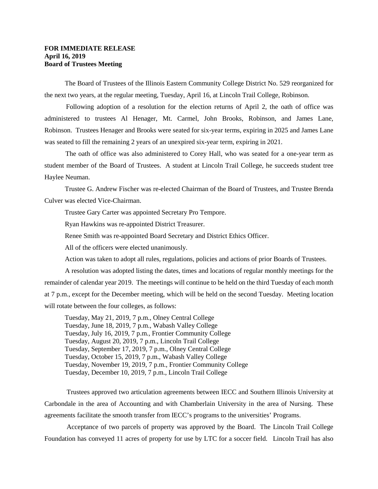## **FOR IMMEDIATE RELEASE April 16, 2019 Board of Trustees Meeting**

 The Board of Trustees of the Illinois Eastern Community College District No. 529 reorganized for the next two years, at the regular meeting, Tuesday, April 16, at Lincoln Trail College, Robinson.

 Following adoption of a resolution for the election returns of April 2, the oath of office was administered to trustees Al Henager, Mt. Carmel, John Brooks, Robinson, and James Lane, Robinson. Trustees Henager and Brooks were seated for six-year terms, expiring in 2025 and James Lane was seated to fill the remaining 2 years of an unexpired six-year term, expiring in 2021.

 The oath of office was also administered to Corey Hall, who was seated for a one-year term as student member of the Board of Trustees. A student at Lincoln Trail College, he succeeds student tree Haylee Neuman.

 Trustee G. Andrew Fischer was re-elected Chairman of the Board of Trustees, and Trustee Brenda Culver was elected Vice-Chairman.

Trustee Gary Carter was appointed Secretary Pro Tempore.

Ryan Hawkins was re-appointed District Treasurer.

Renee Smith was re-appointed Board Secretary and District Ethics Officer.

All of the officers were elected unanimously.

Action was taken to adopt all rules, regulations, policies and actions of prior Boards of Trustees.

 A resolution was adopted listing the dates, times and locations of regular monthly meetings for the remainder of calendar year 2019. The meetings will continue to be held on the third Tuesday of each month at 7 p.m., except for the December meeting, which will be held on the second Tuesday. Meeting location will rotate between the four colleges, as follows:

 Tuesday, May 21, 2019, 7 p.m., Olney Central College Tuesday, June 18, 2019, 7 p.m., Wabash Valley College Tuesday, July 16, 2019, 7 p.m., Frontier Community College Tuesday, August 20, 2019, 7 p.m., Lincoln Trail College Tuesday, September 17, 2019, 7 p.m., Olney Central College Tuesday, October 15, 2019, 7 p.m., Wabash Valley College Tuesday, November 19, 2019, 7 p.m., Frontier Community College Tuesday, December 10, 2019, 7 p.m., Lincoln Trail College

Trustees approved two articulation agreements between IECC and Southern Illinois University at Carbondale in the area of Accounting and with Chamberlain University in the area of Nursing. These agreements facilitate the smooth transfer from IECC's programs to the universities' Programs.

Acceptance of two parcels of property was approved by the Board. The Lincoln Trail College Foundation has conveyed 11 acres of property for use by LTC for a soccer field. Lincoln Trail has also